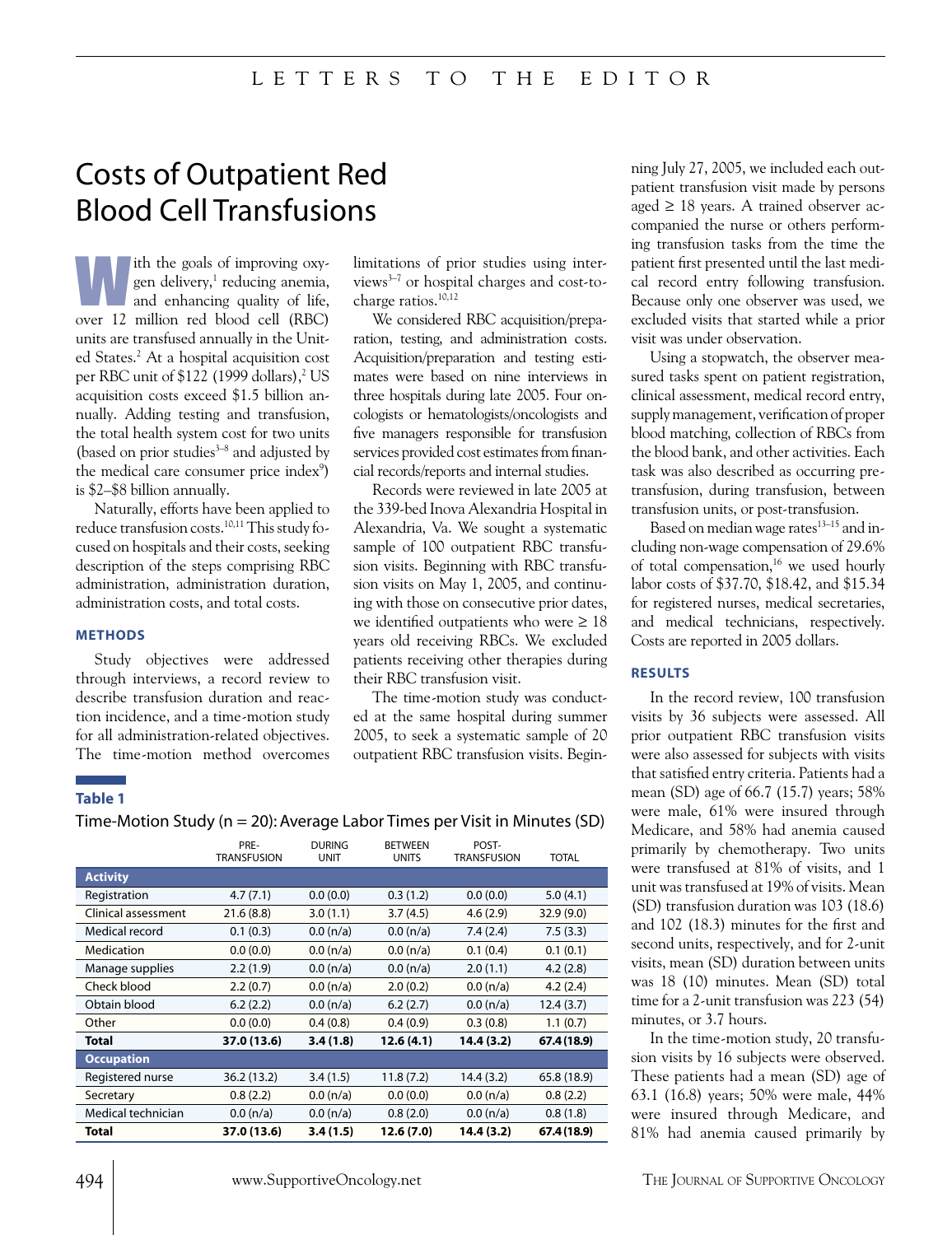# Costs of Outpatient Red Blood Cell Transfusions

Ith the goals of improving oxy-<br>gen delivery,<sup>1</sup> reducing anemia,<br>and enhancing quality of life,<br>sure 12 million and blood as ll (BBC) gen delivery,<sup>1</sup> reducing anemia, and enhancing quality of life, over 12 million red blood cell (RBC) units are transfused annually in the United States.<sup>2</sup> At a hospital acquisition cost per RBC unit of  $$122$  (1999 dollars),<sup>2</sup> US acquisition costs exceed \$1.5 billion annually. Adding testing and transfusion, the total health system cost for two units (based on prior studies $3-8$  and adjusted by the medical care consumer price index<sup>9</sup>) is \$2–\$8 billion annually.

Naturally, efforts have been applied to reduce transfusion costs.10,11 This study focused on hospitals and their costs, seeking description of the steps comprising RBC administration, administration duration, administration costs, and total costs.

#### **METHODS**

Study objectives were addressed through interviews, a record review to describe transfusion duration and reaction incidence, and a time-motion study for all administration-related objectives. The time-motion method overcomes

limitations of prior studies using interviews3–7 or hospital charges and cost-tocharge ratios.10,12

We considered RBC acquisition/preparation, testing, and administration costs. Acquisition/preparation and testing estimates were based on nine interviews in three hospitals during late 2005. Four oncologists or hematologists/oncologists and five managers responsible for transfusion services provided cost estimates from financial records/reports and internal studies.

Records were reviewed in late 2005 at the 339-bed Inova Alexandria Hospital in Alexandria, Va. We sought a systematic sample of 100 outpatient RBC transfusion visits. Beginning with RBC transfusion visits on May 1, 2005, and continuing with those on consecutive prior dates, we identified outpatients who were  $\geq 18$ years old receiving RBCs. We excluded patients receiving other therapies during their RBC transfusion visit.

The time-motion study was conducted at the same hospital during summer 2005, to seek a systematic sample of 20 outpatient RBC transfusion visits. Begin-

#### **Table 1**

Time-Motion Study (n = 20): Average Labor Times per Visit in Minutes (SD)

|                     | PRE-<br><b>TRANSFUSION</b> | <b>DURING</b><br><b>UNIT</b> | <b>BETWEEN</b><br><b>UNITS</b> | POST-<br><b>TRANSFUSION</b> | <b>TOTAL</b> |
|---------------------|----------------------------|------------------------------|--------------------------------|-----------------------------|--------------|
| <b>Activity</b>     |                            |                              |                                |                             |              |
| Registration        | 4.7(7.1)                   | 0.0(0.0)                     | 0.3(1.2)                       | 0.0(0.0)                    | 5.0(4.1)     |
| Clinical assessment | 21.6 (8.8)                 | 3.0(1.1)                     | 3.7(4.5)                       | 4.6(2.9)                    | 32.9 (9.0)   |
| Medical record      | 0.1(0.3)                   | 0.0 (n/a)                    | 0.0 (n/a)                      | 7.4(2.4)                    | 7.5(3.3)     |
| Medication          | 0.0(0.0)                   | 0.0 (n/a)                    | 0.0 (n/a)                      | 0.1(0.4)                    | 0.1(0.1)     |
| Manage supplies     | 2.2(1.9)                   | 0.0 (n/a)                    | 0.0 (n/a)                      | 2.0(1.1)                    | 4.2(2.8)     |
| Check blood         | 2.2(0.7)                   | 0.0 (n/a)                    | 2.0(0.2)                       | 0.0 (n/a)                   | 4.2(2.4)     |
| Obtain blood        | 6.2(2.2)                   | 0.0 (n/a)                    | 6.2(2.7)                       | 0.0 (n/a)                   | 12.4 (3.7)   |
| Other               | 0.0(0.0)                   | 0.4(0.8)                     | 0.4(0.9)                       | 0.3(0.8)                    | 1.1(0.7)     |
| Total               | 37.0 (13.6)                | 3.4(1.8)                     | 12.6(4.1)                      | 14.4 (3.2)                  | 67.4 (18.9)  |
| <b>Occupation</b>   |                            |                              |                                |                             |              |
| Registered nurse    | 36.2 (13.2)                | 3.4(1.5)                     | 11.8(7.2)                      | 14.4 (3.2)                  | 65.8 (18.9)  |
| Secretary           | 0.8(2.2)                   | 0.0 (n/a)                    | 0.0(0.0)                       | 0.0 (n/a)                   | 0.8(2.2)     |
| Medical technician  | 0.0 (n/a)                  | 0.0 (n/a)                    | 0.8(2.0)                       | 0.0 (n/a)                   | 0.8(1.8)     |
| Total               | 37.0 (13.6)                | 3.4(1.5)                     | 12.6 (7.0)                     | 14.4 (3.2)                  | 67.4 (18.9)  |

ning July 27, 2005, we included each outpatient transfusion visit made by persons aged  $\geq$  18 years. A trained observer accompanied the nurse or others performing transfusion tasks from the time the patient first presented until the last medical record entry following transfusion. Because only one observer was used, we excluded visits that started while a prior visit was under observation.

Using a stopwatch, the observer measured tasks spent on patient registration, clinical assessment, medical record entry, supply management, verification of proper blood matching, collection of RBCs from the blood bank, and other activities. Each task was also described as occurring pretransfusion, during transfusion, between transfusion units, or post-transfusion.

Based on median wage rates<sup>13-15</sup> and including non-wage compensation of 29.6% of total compensation,16 we used hourly labor costs of \$37.70, \$18.42, and \$15.34 for registered nurses, medical secretaries, and medical technicians, respectively. Costs are reported in 2005 dollars.

#### **RESULTS**

In the record review, 100 transfusion visits by 36 subjects were assessed. All prior outpatient RBC transfusion visits were also assessed for subjects with visits that satisfied entry criteria. Patients had a mean (SD) age of 66.7 (15.7) years; 58% were male, 61% were insured through Medicare, and 58% had anemia caused primarily by chemotherapy. Two units were transfused at 81% of visits, and 1 unit was transfused at 19% of visits. Mean (SD) transfusion duration was 103 (18.6) and 102 (18.3) minutes for the first and second units, respectively, and for 2-unit visits, mean (SD) duration between units was 18 (10) minutes. Mean (SD) total time for a 2-unit transfusion was 223 (54) minutes, or 3.7 hours.

In the time-motion study, 20 transfusion visits by 16 subjects were observed. These patients had a mean (SD) age of 63.1 (16.8) years; 50% were male, 44% were insured through Medicare, and 81% had anemia caused primarily by